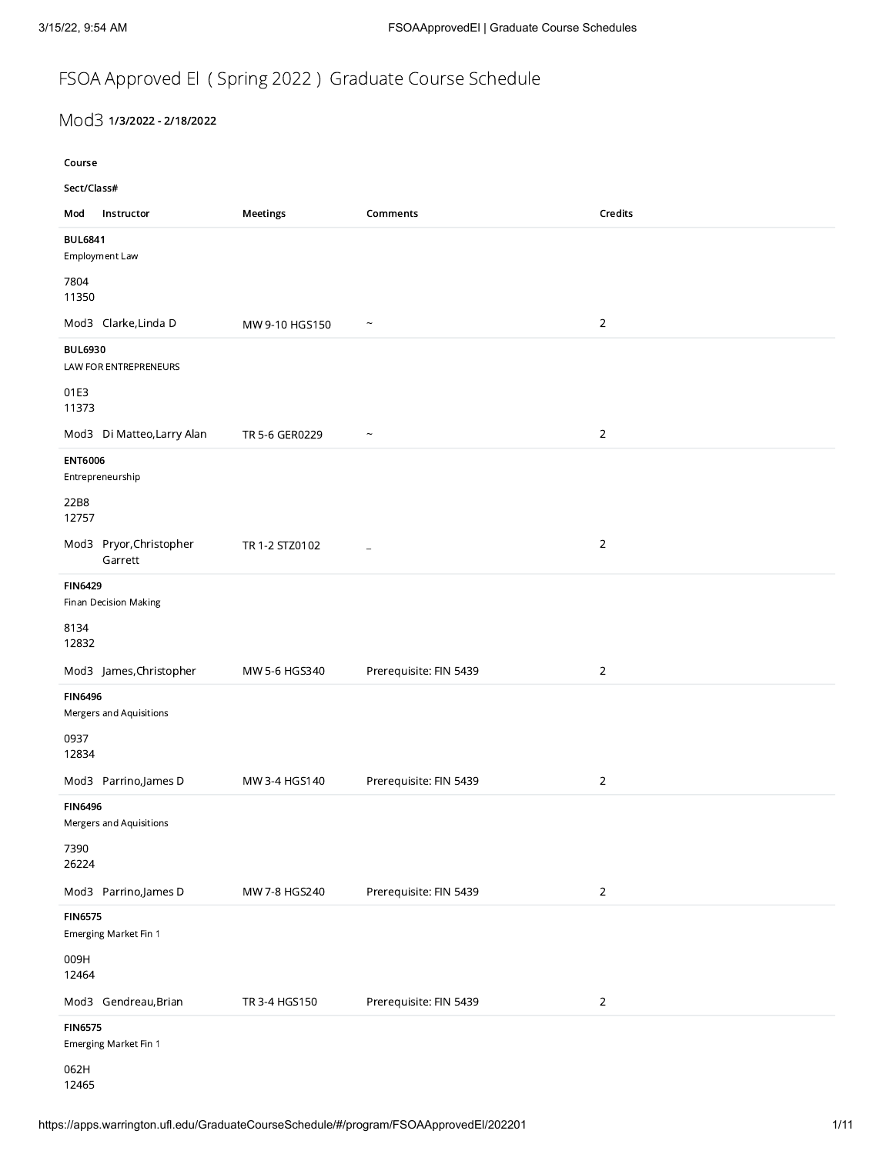## FSOA Approved El ( Spring 2022 ) Graduate Course Schedule

## Mod3 1/3/2022 - 2/18/2022

Course Sect/Class# Mod Instructor Meetings Comments Credits BUL6841 Employment Law 7804 11350 Mod3 Clarke,Linda D MW 9-10 HGS150 ~ 2 BUL6930 LAW FOR ENTREPRENEURS 01E3 11373 Mod3 Di Matteo,Larry Alan TR 5-6 GER0229  $\sim$ ENT6006 Entrepreneurship 22B8 12757 Mod3 Pryor,Christopher Garrett TR 1-2 STZ0102 \_ 2 FIN6429 Finan Decision Making 8134 12832 Mod3 James,Christopher MW 5-6 HGS340 Prerequisite: FIN 5439 2 FIN6496 Mergers and Aquisitions 0937 12834 Mod3 Parrino,James D MW 3-4 HGS140 Prerequisite: FIN 5439 2 FIN6496 Mergers and Aquisitions 7390 26224 Mod3 Parrino,James D MW 7-8 HGS240 Prerequisite: FIN 5439 2 FIN6575 Emerging Market Fin 1 009H 12464 Mod3 Gendreau,Brian TR 3-4 HGS150 Prerequisite: FIN 5439 FIN6575 Emerging Market Fin 1

062H 12465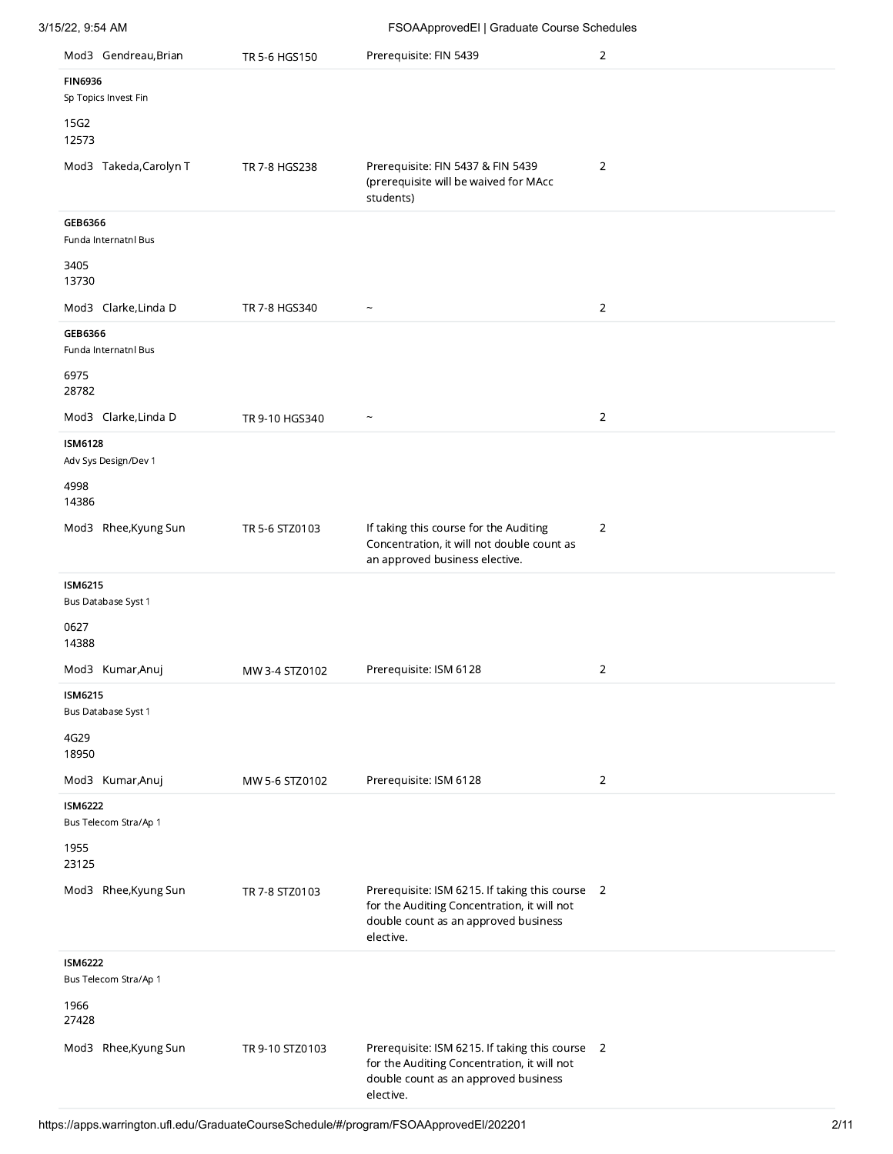| 3/15/22, 9:54 AM                        |                 | FSOAApprovedEl   Graduate Course Schedules                                                                                                          |                |
|-----------------------------------------|-----------------|-----------------------------------------------------------------------------------------------------------------------------------------------------|----------------|
| Mod3 Gendreau, Brian                    | TR 5-6 HGS150   | Prerequisite: FIN 5439                                                                                                                              | $\overline{2}$ |
| <b>FIN6936</b><br>Sp Topics Invest Fin  |                 |                                                                                                                                                     |                |
| 15G2<br>12573                           |                 |                                                                                                                                                     |                |
| Mod3 Takeda, Carolyn T                  | TR 7-8 HGS238   | Prerequisite: FIN 5437 & FIN 5439<br>(prerequisite will be waived for MAcc<br>students)                                                             | $\overline{2}$ |
| GEB6366<br>Funda Internatni Bus         |                 |                                                                                                                                                     |                |
| 3405<br>13730                           |                 |                                                                                                                                                     |                |
| Mod3 Clarke, Linda D                    | TR 7-8 HGS340   | $\widetilde{\phantom{m}}$                                                                                                                           | $\overline{2}$ |
| GEB6366<br>Funda Internatnl Bus         |                 |                                                                                                                                                     |                |
| 6975<br>28782                           |                 |                                                                                                                                                     |                |
| Mod3 Clarke, Linda D                    | TR 9-10 HGS340  |                                                                                                                                                     | $\overline{2}$ |
| <b>ISM6128</b><br>Adv Sys Design/Dev 1  |                 |                                                                                                                                                     |                |
| 4998<br>14386                           |                 |                                                                                                                                                     |                |
| Mod3 Rhee, Kyung Sun                    | TR 5-6 STZ0103  | If taking this course for the Auditing<br>Concentration, it will not double count as<br>an approved business elective.                              | $\overline{2}$ |
| <b>ISM6215</b><br>Bus Database Syst 1   |                 |                                                                                                                                                     |                |
| 0627<br>14388                           |                 |                                                                                                                                                     |                |
| Mod3 Kumar, Anuj                        | MW 3-4 STZ0102  | Prerequisite: ISM 6128                                                                                                                              | 2              |
| ISM6215<br>Bus Database Syst 1          |                 |                                                                                                                                                     |                |
| 4G29<br>18950                           |                 |                                                                                                                                                     |                |
| Mod3 Kumar, Anuj                        | MW 5-6 STZ0102  | Prerequisite: ISM 6128                                                                                                                              | $\overline{2}$ |
| <b>ISM6222</b><br>Bus Telecom Stra/Ap 1 |                 |                                                                                                                                                     |                |
| 1955<br>23125                           |                 |                                                                                                                                                     |                |
| Mod3 Rhee, Kyung Sun                    | TR 7-8 STZ0103  | Prerequisite: ISM 6215. If taking this course 2<br>for the Auditing Concentration, it will not<br>double count as an approved business<br>elective. |                |
| <b>ISM6222</b><br>Bus Telecom Stra/Ap 1 |                 |                                                                                                                                                     |                |
| 1966<br>27428                           |                 |                                                                                                                                                     |                |
| Mod3 Rhee, Kyung Sun                    | TR 9-10 STZ0103 | Prerequisite: ISM 6215. If taking this course 2<br>for the Auditing Concentration, it will not<br>double count as an approved business<br>elective. |                |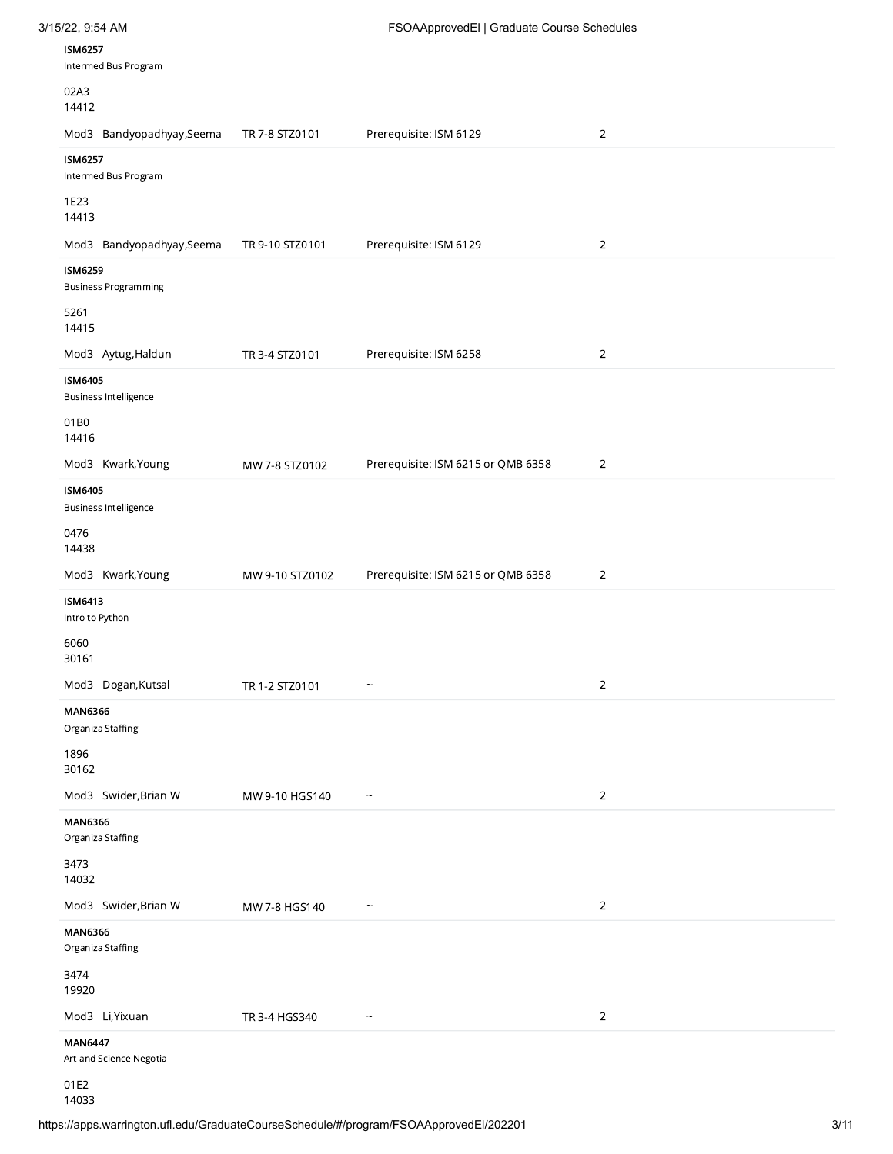| 3/15/22, 9:54 AM<br><b>ISM6257</b>                                 |                 | FSOAApprovedEl   Graduate Course Schedules |                |
|--------------------------------------------------------------------|-----------------|--------------------------------------------|----------------|
| Intermed Bus Program<br>02A3<br>14412<br>Mod3 Bandyopadhyay, Seema | TR 7-8 STZ0101  | Prerequisite: ISM 6129                     | $\overline{2}$ |
| <b>ISM6257</b><br>Intermed Bus Program<br>1E23                     |                 |                                            |                |
| 14413<br>Mod3 Bandyopadhyay,Seema<br><b>ISM6259</b>                | TR 9-10 STZ0101 | Prerequisite: ISM 6129                     | $\overline{2}$ |
| <b>Business Programming</b><br>5261<br>14415<br>Mod3 Aytug, Haldun | TR 3-4 STZ0101  | Prerequisite: ISM 6258                     | $\mathbf 2$    |
| <b>ISM6405</b><br>Business Intelligence<br>01B0                    |                 |                                            |                |
| 14416<br>Mod3 Kwark, Young<br>ISM6405                              | MW 7-8 STZ0102  | Prerequisite: ISM 6215 or QMB 6358         | $\sqrt{2}$     |
| <b>Business Intelligence</b><br>0476<br>14438<br>Mod3 Kwark, Young | MW 9-10 STZ0102 | Prerequisite: ISM 6215 or QMB 6358         | $\mathbf 2$    |
| <b>ISM6413</b><br>Intro to Python                                  |                 |                                            |                |
| 6060                                                               |                 |                                            | $\overline{2}$ |
| 30161<br>Mod3 Dogan, Kutsal<br><b>MAN6366</b>                      | TR 1-2 STZ0101  | $\widetilde{\phantom{m}}$                  |                |
| Organiza Staffing<br>1896<br>30162<br>Mod3 Swider, Brian W         | MW 9-10 HGS140  | $\widetilde{\phantom{m}}$                  | $\overline{2}$ |
| MAN6366<br>Organiza Staffing<br>3473                               |                 |                                            |                |
| 14032<br>Mod3 Swider, Brian W<br>MAN6366<br>Organiza Staffing      | MW 7-8 HGS140   | $\widetilde{\phantom{m}}$                  | $\overline{2}$ |
| 3474<br>19920<br>Mod3 Li, Yixuan                                   | TR 3-4 HGS340   | $\widetilde{\phantom{m}}$                  | $\overline{2}$ |

14033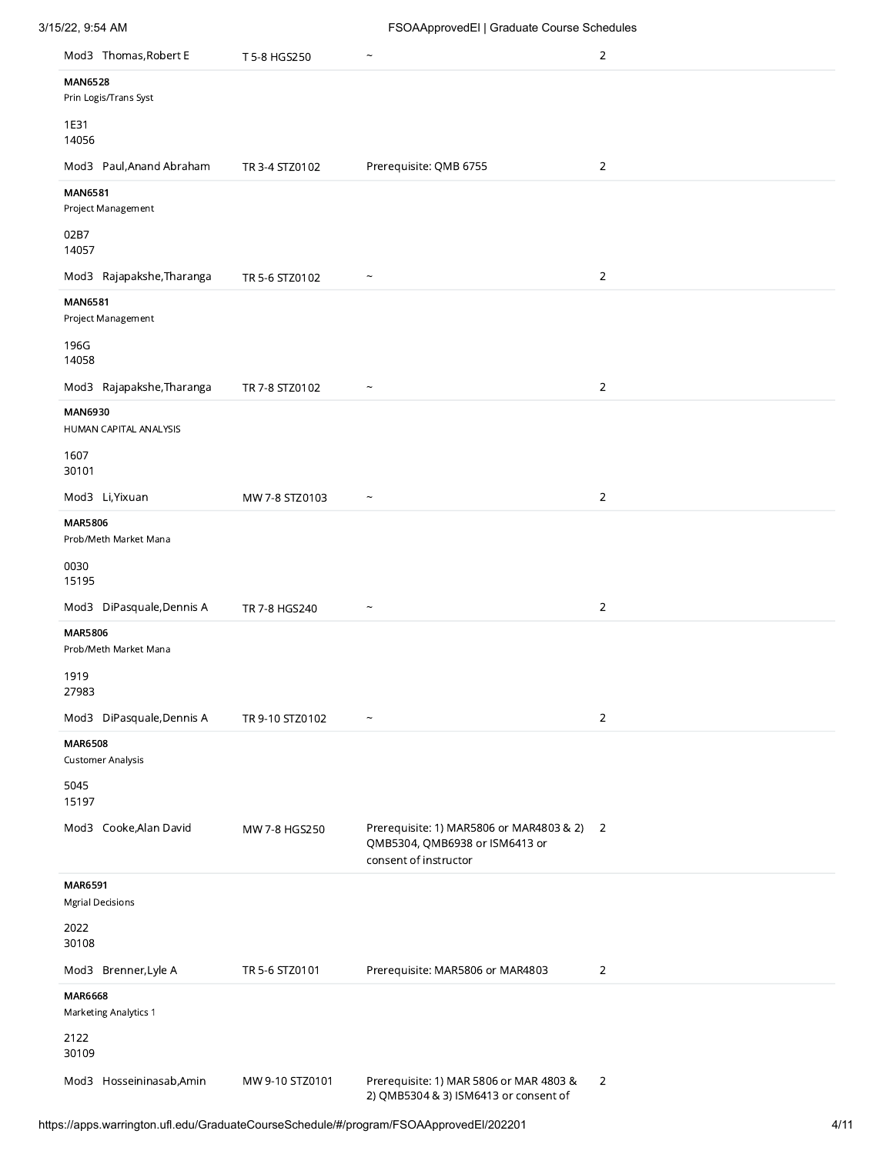|                | Mod3 Thomas, Robert E     | T 5-8 HGS250    |                                                                                                     | $\overline{2}$ |
|----------------|---------------------------|-----------------|-----------------------------------------------------------------------------------------------------|----------------|
| <b>MAN6528</b> | Prin Logis/Trans Syst     |                 |                                                                                                     |                |
| 1E31<br>14056  |                           |                 |                                                                                                     |                |
|                | Mod3 Paul, Anand Abraham  | TR 3-4 STZ0102  | Prerequisite: QMB 6755                                                                              | $\overline{2}$ |
| <b>MAN6581</b> | Project Management        |                 |                                                                                                     |                |
| 02B7<br>14057  |                           |                 |                                                                                                     |                |
|                | Mod3 Rajapakshe, Tharanga | TR 5-6 STZ0102  | $\tilde{\phantom{a}}$                                                                               | $\overline{2}$ |
| <b>MAN6581</b> | Project Management        |                 |                                                                                                     |                |
| 196G<br>14058  |                           |                 |                                                                                                     |                |
|                | Mod3 Rajapakshe, Tharanga | TR 7-8 STZ0102  | $\tilde{\phantom{a}}$                                                                               | $\overline{2}$ |
| <b>MAN6930</b> | HUMAN CAPITAL ANALYSIS    |                 |                                                                                                     |                |
| 1607<br>30101  |                           |                 |                                                                                                     |                |
|                | Mod3 Li, Yixuan           | MW 7-8 STZ0103  | $\tilde{}$                                                                                          | $\overline{2}$ |
| <b>MAR5806</b> | Prob/Meth Market Mana     |                 |                                                                                                     |                |
| 0030<br>15195  |                           |                 |                                                                                                     |                |
|                | Mod3 DiPasquale, Dennis A | TR 7-8 HGS240   | $\tilde{ }$                                                                                         | $\overline{2}$ |
| <b>MAR5806</b> | Prob/Meth Market Mana     |                 |                                                                                                     |                |
| 1919<br>27983  |                           |                 |                                                                                                     |                |
|                | Mod3 DiPasquale, Dennis A | TR 9-10 STZ0102 | $\ddot{\phantom{1}}$                                                                                | $\overline{2}$ |
| <b>MAR6508</b> | <b>Customer Analysis</b>  |                 |                                                                                                     |                |
| 5045<br>15197  |                           |                 |                                                                                                     |                |
|                | Mod3 Cooke, Alan David    | MW 7-8 HGS250   | Prerequisite: 1) MAR5806 or MAR4803 & 2)<br>QMB5304, QMB6938 or ISM6413 or<br>consent of instructor | $\overline{2}$ |
| <b>MAR6591</b> | <b>Mgrial Decisions</b>   |                 |                                                                                                     |                |
| 2022<br>30108  |                           |                 |                                                                                                     |                |
|                | Mod3 Brenner, Lyle A      | TR 5-6 STZ0101  | Prerequisite: MAR5806 or MAR4803                                                                    | $\overline{2}$ |
| <b>MAR6668</b> | Marketing Analytics 1     |                 |                                                                                                     |                |
| 2122<br>30109  |                           |                 |                                                                                                     |                |
|                | Mod3 Hosseininasab, Amin  | MW 9-10 STZ0101 | Prerequisite: 1) MAR 5806 or MAR 4803 &<br>2) QMB5304 & 3) ISM6413 or consent of                    | $\overline{2}$ |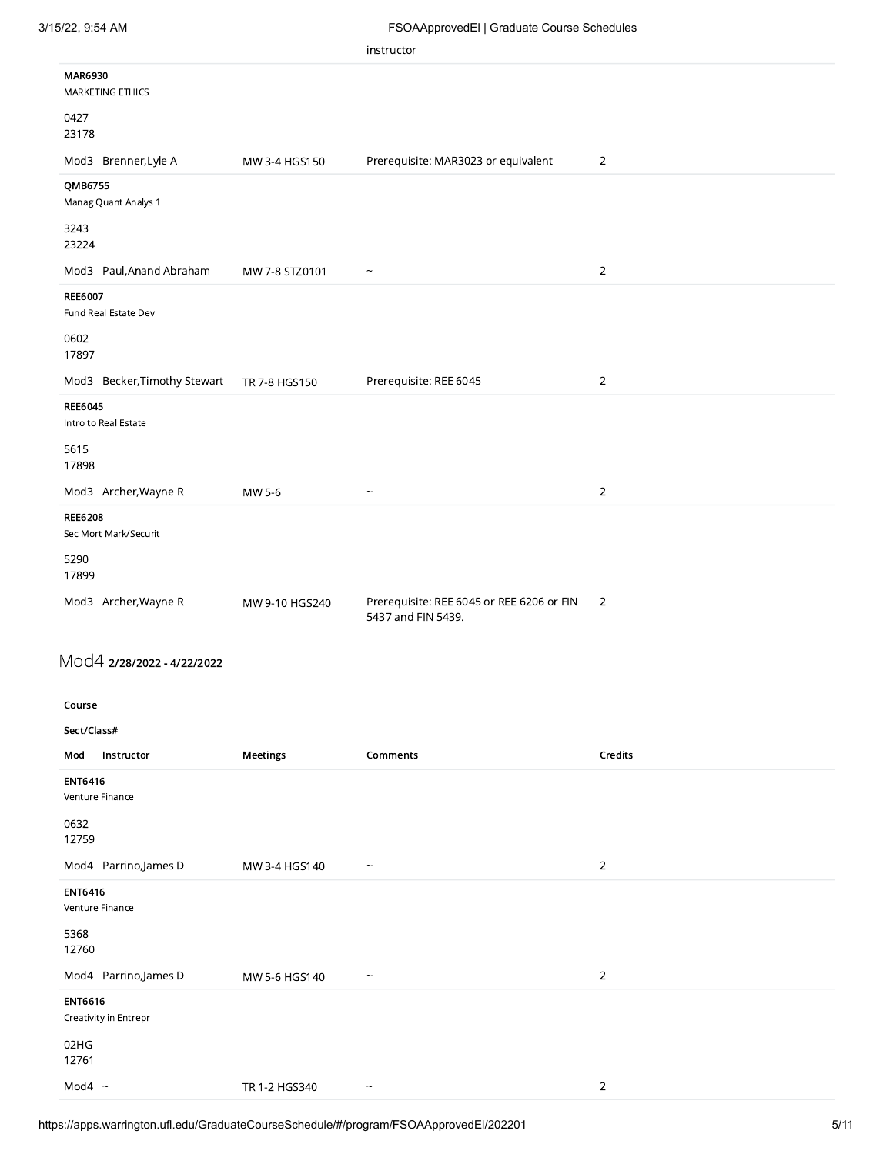|                                         |                | instructor                                                      |                |
|-----------------------------------------|----------------|-----------------------------------------------------------------|----------------|
| MAR6930<br>MARKETING ETHICS             |                |                                                                 |                |
| 0427<br>23178                           |                |                                                                 |                |
| Mod3 Brenner, Lyle A                    | MW 3-4 HGS150  | Prerequisite: MAR3023 or equivalent                             | $\overline{2}$ |
| QMB6755<br>Manag Quant Analys 1         |                |                                                                 |                |
| 3243<br>23224                           |                |                                                                 |                |
| Mod3 Paul, Anand Abraham                | MW 7-8 STZ0101 | $\tilde{}$                                                      | $\overline{2}$ |
| <b>REE6007</b><br>Fund Real Estate Dev  |                |                                                                 |                |
| 0602<br>17897                           |                |                                                                 |                |
| Mod3 Becker, Timothy Stewart            | TR 7-8 HGS150  | Prerequisite: REE 6045                                          | $\overline{2}$ |
| <b>REE6045</b><br>Intro to Real Estate  |                |                                                                 |                |
| 5615<br>17898                           |                |                                                                 |                |
| Mod3 Archer, Wayne R                    | MW 5-6         | $\widetilde{\phantom{m}}$                                       | $\overline{2}$ |
| <b>REE6208</b><br>Sec Mort Mark/Securit |                |                                                                 |                |
|                                         |                |                                                                 |                |
| 5290<br>17899                           |                |                                                                 |                |
| Mod3 Archer, Wayne R                    | MW 9-10 HGS240 | Prerequisite: REE 6045 or REE 6206 or FIN<br>5437 and FIN 5439. | 2              |
| Mod4 2/28/2022 - 4/22/2022              |                |                                                                 |                |
|                                         |                |                                                                 |                |
| Course<br>Sect/Class#                   |                |                                                                 |                |
| Instructor<br>Mod                       | Meetings       | Comments                                                        | Credits        |
| ENT6416<br>Venture Finance              |                |                                                                 |                |
| 0632<br>12759                           |                |                                                                 |                |
| Mod4 Parrino, James D                   | MW 3-4 HGS140  | $\widetilde{\phantom{m}}$                                       | $\overline{2}$ |
| <b>ENT6416</b><br>Venture Finance       |                |                                                                 |                |
| 5368<br>12760                           |                |                                                                 |                |
| Mod4 Parrino, James D                   | MW 5-6 HGS140  | $\widetilde{\phantom{m}}$                                       | $\overline{2}$ |
| <b>ENT6616</b><br>Creativity in Entrepr |                |                                                                 |                |

 $\text{Mod4} \sim \text{TR } 1 - 2 \text{ HG } 340$   $\sim$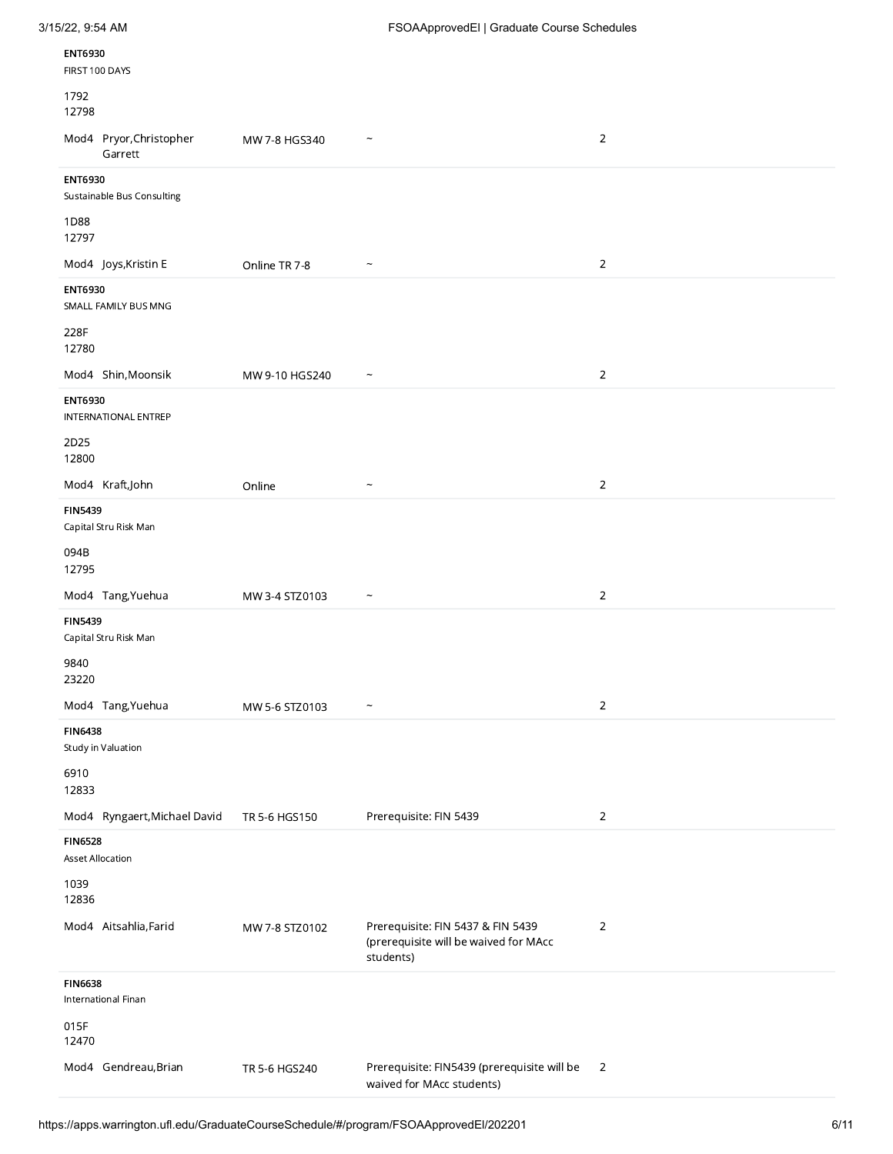| <b>ENT6930</b><br>FIRST 100 DAYS             |                |                                                                                         |                |
|----------------------------------------------|----------------|-----------------------------------------------------------------------------------------|----------------|
| 1792<br>12798                                |                |                                                                                         |                |
| Mod4 Pryor, Christopher<br>Garrett           | MW 7-8 HGS340  | $\widetilde{\phantom{m}}$                                                               | $\sqrt{2}$     |
| <b>ENT6930</b><br>Sustainable Bus Consulting |                |                                                                                         |                |
| 1D88<br>12797                                |                |                                                                                         |                |
| Mod4 Joys, Kristin E                         | Online TR 7-8  | $\tilde{}$                                                                              | $\sqrt{2}$     |
| <b>ENT6930</b><br>SMALL FAMILY BUS MNG       |                |                                                                                         |                |
| 228F<br>12780                                |                |                                                                                         |                |
| Mod4 Shin, Moonsik                           | MW 9-10 HGS240 | $\widetilde{\phantom{m}}$                                                               | $\sqrt{2}$     |
| <b>ENT6930</b><br>INTERNATIONAL ENTREP       |                |                                                                                         |                |
| 2D25<br>12800                                |                |                                                                                         |                |
| Mod4 Kraft,John                              | Online         |                                                                                         | $\sqrt{2}$     |
| <b>FIN5439</b><br>Capital Stru Risk Man      |                |                                                                                         |                |
| 094B<br>12795                                |                |                                                                                         |                |
| Mod4 Tang, Yuehua                            | MW 3-4 STZ0103 | $\tilde{\phantom{a}}$                                                                   | $\overline{2}$ |
| <b>FIN5439</b><br>Capital Stru Risk Man      |                |                                                                                         |                |
| 9840<br>23220                                |                |                                                                                         |                |
| Mod4 Tang, Yuehua                            | MW 5-6 STZ0103 | $\widetilde{\phantom{m}}$                                                               | $\sqrt{2}$     |
| <b>FIN6438</b><br>Study in Valuation         |                |                                                                                         |                |
| 6910<br>12833                                |                |                                                                                         |                |
| Mod4 Ryngaert, Michael David                 | TR 5-6 HGS150  | Prerequisite: FIN 5439                                                                  | $\overline{2}$ |
| <b>FIN6528</b><br><b>Asset Allocation</b>    |                |                                                                                         |                |
| 1039<br>12836                                |                |                                                                                         |                |
| Mod4 Aitsahlia, Farid                        | MW 7-8 STZ0102 | Prerequisite: FIN 5437 & FIN 5439<br>(prerequisite will be waived for MAcc<br>students) | $\sqrt{2}$     |
| <b>FIN6638</b><br>International Finan        |                |                                                                                         |                |
| 015F<br>12470                                |                |                                                                                         |                |
| Mod4 Gendreau, Brian                         | TR 5-6 HGS240  | Prerequisite: FIN5439 (prerequisite will be<br>waived for MAcc students)                | $\overline{2}$ |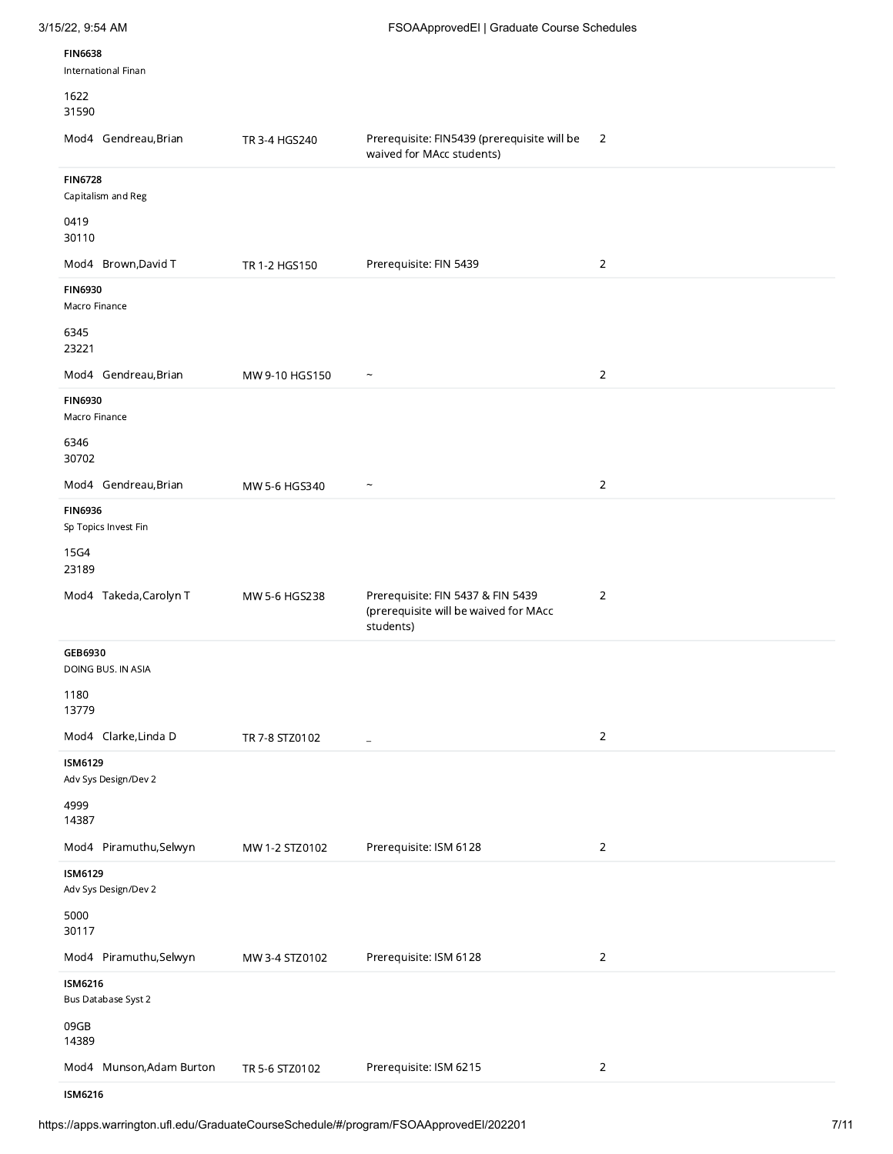| 3/15/22, 9:54 AM                       |                | FSOAApprovedEl   Graduate Course Schedules                                              |                |
|----------------------------------------|----------------|-----------------------------------------------------------------------------------------|----------------|
| <b>FIN6638</b><br>International Finan  |                |                                                                                         |                |
| 1622<br>31590                          |                |                                                                                         |                |
| Mod4 Gendreau, Brian                   | TR 3-4 HGS240  | Prerequisite: FIN5439 (prerequisite will be<br>waived for MAcc students)                | $\overline{2}$ |
| <b>FIN6728</b><br>Capitalism and Reg   |                |                                                                                         |                |
| 0419<br>30110                          |                |                                                                                         |                |
| Mod4 Brown, David T                    | TR 1-2 HGS150  | Prerequisite: FIN 5439                                                                  | $\overline{2}$ |
| <b>FIN6930</b><br>Macro Finance        |                |                                                                                         |                |
| 6345<br>23221                          |                |                                                                                         |                |
| Mod4 Gendreau, Brian                   | MW 9-10 HGS150 | $\widetilde{\phantom{m}}$                                                               | $\overline{2}$ |
| <b>FIN6930</b><br>Macro Finance        |                |                                                                                         |                |
| 6346<br>30702                          |                |                                                                                         |                |
| Mod4 Gendreau, Brian                   | MW 5-6 HGS340  | $\widetilde{\phantom{m}}$                                                               | $\overline{2}$ |
| <b>FIN6936</b><br>Sp Topics Invest Fin |                |                                                                                         |                |
| 15G4<br>23189                          |                |                                                                                         |                |
| Mod4 Takeda, Carolyn T                 | MW 5-6 HGS238  | Prerequisite: FIN 5437 & FIN 5439<br>(prerequisite will be waived for MAcc<br>students) | $\overline{2}$ |
| GEB6930                                |                |                                                                                         |                |
| DOING BUS. IN ASIA<br>1180             |                |                                                                                         |                |
| 13779                                  |                |                                                                                         |                |
| Mod4 Clarke, Linda D                   | TR 7-8 STZ0102 | $\equiv$                                                                                | $\overline{2}$ |
| <b>ISM6129</b><br>Adv Sys Design/Dev 2 |                |                                                                                         |                |
| 4999<br>14387                          |                |                                                                                         |                |
| Mod4 Piramuthu,Selwyn                  | MW 1-2 STZ0102 | Prerequisite: ISM 6128                                                                  | $\overline{2}$ |
| <b>ISM6129</b><br>Adv Sys Design/Dev 2 |                |                                                                                         |                |
| 5000<br>30117                          |                |                                                                                         |                |
| Mod4 Piramuthu,Selwyn                  | MW 3-4 STZ0102 | Prerequisite: ISM 6128                                                                  | $\overline{2}$ |
| <b>ISM6216</b><br>Bus Database Syst 2  |                |                                                                                         |                |
| 09GB<br>14389                          |                |                                                                                         |                |
| Mod4 Munson, Adam Burton               | TR 5-6 STZ0102 | Prerequisite: ISM 6215                                                                  | $\overline{2}$ |
| <b>ISM6216</b>                         |                |                                                                                         |                |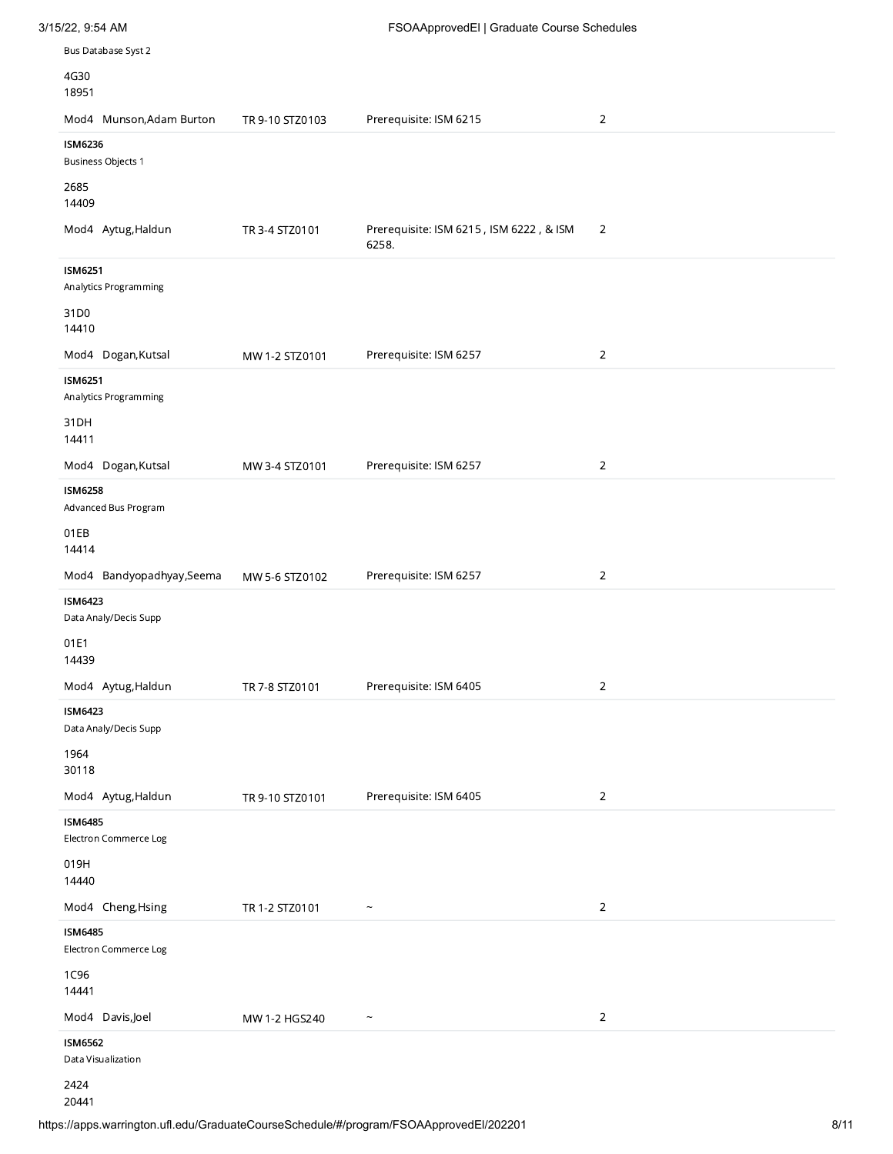| Bus Database Syst 2                         |                 |                                                  |                |
|---------------------------------------------|-----------------|--------------------------------------------------|----------------|
| 4G30<br>18951                               |                 |                                                  |                |
| Mod4 Munson, Adam Burton                    | TR 9-10 STZ0103 | Prerequisite: ISM 6215                           | $\overline{2}$ |
| <b>ISM6236</b><br><b>Business Objects 1</b> |                 |                                                  |                |
| 2685<br>14409                               |                 |                                                  |                |
| Mod4 Aytug, Haldun                          | TR 3-4 STZ0101  | Prerequisite: ISM 6215, ISM 6222, & ISM<br>6258. | $\overline{2}$ |
| <b>ISM6251</b><br>Analytics Programming     |                 |                                                  |                |
| 31D0<br>14410                               |                 |                                                  |                |
| Mod4 Dogan, Kutsal                          | MW 1-2 STZ0101  | Prerequisite: ISM 6257                           | $\overline{2}$ |
| <b>ISM6251</b><br>Analytics Programming     |                 |                                                  |                |
| 31DH<br>14411                               |                 |                                                  |                |
| Mod4 Dogan, Kutsal                          | MW 3-4 STZ0101  | Prerequisite: ISM 6257                           | $\overline{2}$ |
| <b>ISM6258</b><br>Advanced Bus Program      |                 |                                                  |                |
| 01EB<br>14414                               |                 |                                                  |                |
| Mod4 Bandyopadhyay, Seema                   | MW 5-6 STZ0102  | Prerequisite: ISM 6257                           | $\overline{2}$ |
| <b>ISM6423</b><br>Data Analy/Decis Supp     |                 |                                                  |                |
| 01E1<br>14439                               |                 |                                                  |                |
| Mod4 Aytug, Haldun                          | TR 7-8 STZ0101  | Prerequisite: ISM 6405                           | $\overline{2}$ |
| <b>ISM6423</b><br>Data Analy/Decis Supp     |                 |                                                  |                |
| 1964<br>30118                               |                 |                                                  |                |
| Mod4 Aytug, Haldun                          | TR 9-10 STZ0101 | Prerequisite: ISM 6405                           | $\overline{2}$ |
| <b>ISM6485</b><br>Electron Commerce Log     |                 |                                                  |                |
| 019H<br>14440                               |                 |                                                  |                |
| Mod4 Cheng, Hsing                           | TR 1-2 STZ0101  | $\widetilde{\phantom{m}}$                        | $\overline{2}$ |
| <b>ISM6485</b><br>Electron Commerce Log     |                 |                                                  |                |
| 1C96<br>14441                               |                 |                                                  |                |
| Mod4 Davis,Joel                             | MW 1-2 HGS240   | $\widetilde{\phantom{m}}$                        | $\overline{2}$ |
| <b>ISM6562</b><br>Data Visualization        |                 |                                                  |                |
| 2424                                        |                 |                                                  |                |

3/15/22, 9:54 AM FSOAApprovedEl | Graduate Course Schedules

20441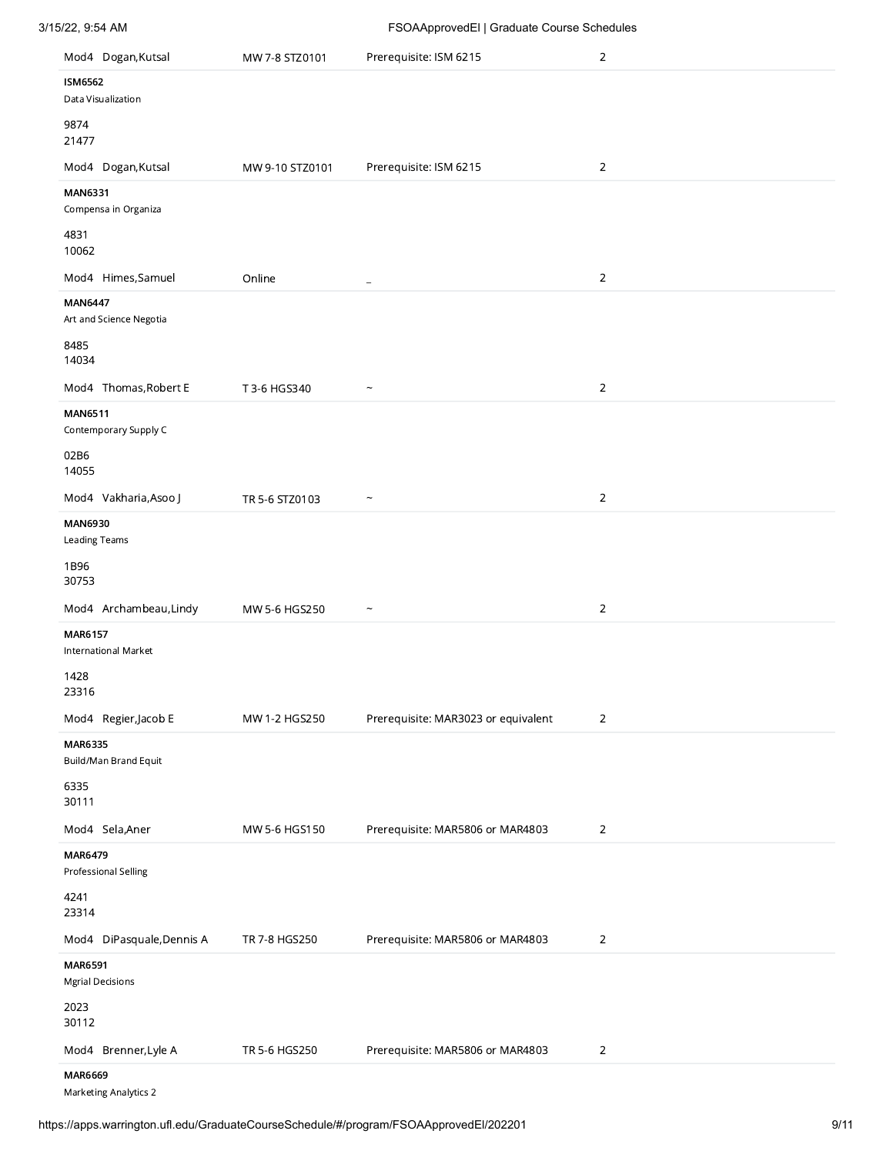| 3/15/22, 9:54 AM                          |                 | FSOAApprovedEl   Graduate Course Schedules |                |  |
|-------------------------------------------|-----------------|--------------------------------------------|----------------|--|
| Mod4 Dogan, Kutsal                        | MW 7-8 STZ0101  | Prerequisite: ISM 6215                     | $\overline{2}$ |  |
| <b>ISM6562</b><br>Data Visualization      |                 |                                            |                |  |
| 9874<br>21477                             |                 |                                            |                |  |
| Mod4 Dogan, Kutsal                        | MW 9-10 STZ0101 | Prerequisite: ISM 6215                     | $\overline{2}$ |  |
| <b>MAN6331</b><br>Compensa in Organiza    |                 |                                            |                |  |
| 4831<br>10062                             |                 |                                            |                |  |
| Mod4 Himes, Samuel                        | Online          | $\overline{\phantom{a}}$                   | $\overline{2}$ |  |
| <b>MAN6447</b><br>Art and Science Negotia |                 |                                            |                |  |
| 8485<br>14034                             |                 |                                            |                |  |
| Mod4 Thomas, Robert E                     | T 3-6 HGS340    | $\widetilde{\phantom{m}}$                  | $\overline{2}$ |  |
| <b>MAN6511</b><br>Contemporary Supply C   |                 |                                            |                |  |
| 02B6<br>14055                             |                 |                                            |                |  |
| Mod4 Vakharia, Asoo J                     | TR 5-6 STZ0103  | $\tilde{}$                                 | $\overline{2}$ |  |
| MAN6930<br>Leading Teams                  |                 |                                            |                |  |
| 1B96<br>30753                             |                 |                                            |                |  |
| Mod4 Archambeau, Lindy                    | MW 5-6 HGS250   | $\widetilde{\phantom{m}}$                  | $\overline{2}$ |  |
| <b>MAR6157</b>                            |                 |                                            |                |  |
| <b>International Market</b>               |                 |                                            |                |  |
| 1428<br>23316                             |                 |                                            |                |  |
| Mod4 Regier, Jacob E                      | MW 1-2 HGS250   | Prerequisite: MAR3023 or equivalent        | 2              |  |
| MAR6335<br>Build/Man Brand Equit          |                 |                                            |                |  |
| 6335<br>30111                             |                 |                                            |                |  |
| Mod4 Sela, Aner                           | MW 5-6 HGS150   | Prerequisite: MAR5806 or MAR4803           | $\overline{2}$ |  |
| <b>MAR6479</b><br>Professional Selling    |                 |                                            |                |  |
| 4241<br>23314                             |                 |                                            |                |  |
| Mod4 DiPasquale, Dennis A                 | TR 7-8 HGS250   | Prerequisite: MAR5806 or MAR4803           | $\overline{2}$ |  |
| MAR6591<br><b>Mgrial Decisions</b>        |                 |                                            |                |  |
| 2023<br>30112                             |                 |                                            |                |  |
| Mod4 Brenner, Lyle A                      | TR 5-6 HGS250   | Prerequisite: MAR5806 or MAR4803           | $\overline{2}$ |  |
| <b>MAR6669</b>                            |                 |                                            |                |  |

Marketing Analytics 2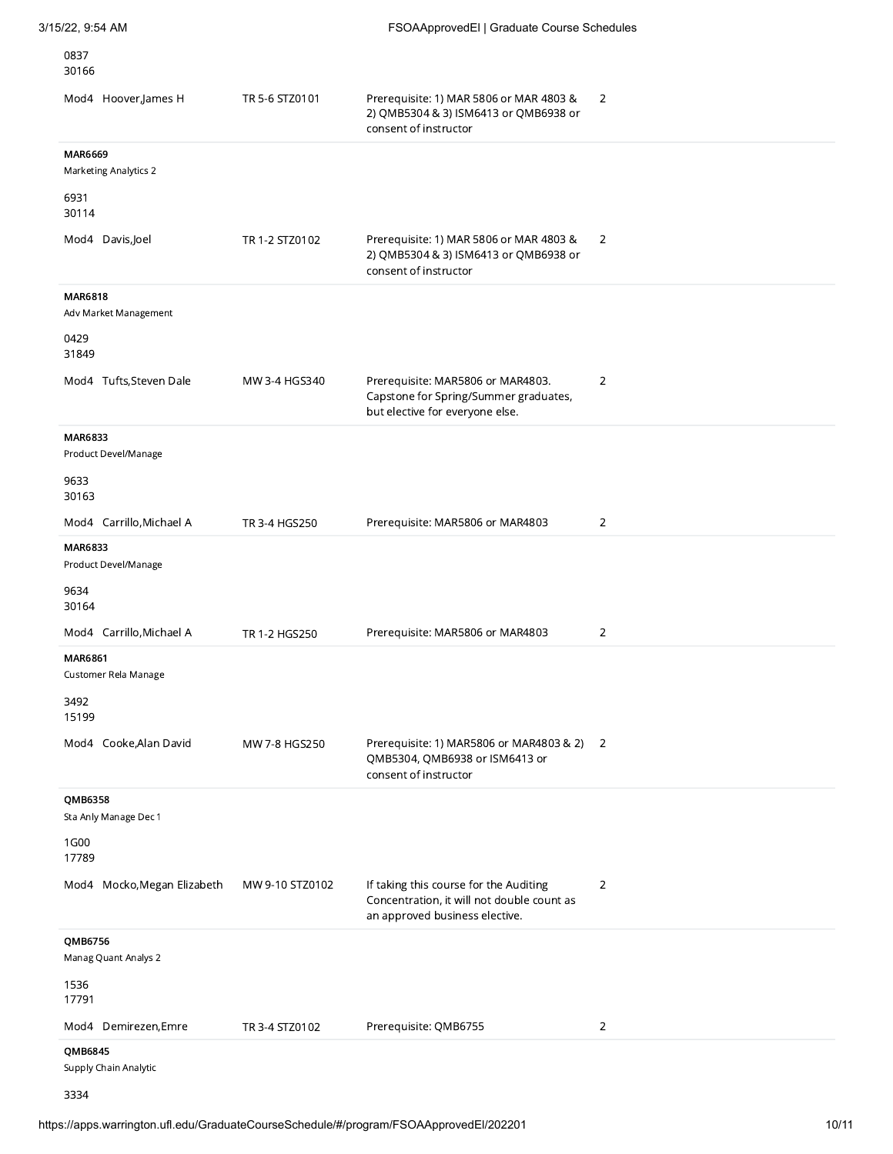| 3/15/22, 9:54 AM                               |                 | FSOAApprovedEl   Graduate Course Schedules                                                                             |                |
|------------------------------------------------|-----------------|------------------------------------------------------------------------------------------------------------------------|----------------|
| 0837<br>30166                                  |                 |                                                                                                                        |                |
| Mod4 Hoover, James H                           | TR 5-6 STZ0101  | Prerequisite: 1) MAR 5806 or MAR 4803 &<br>2) QMB5304 & 3) ISM6413 or QMB6938 or<br>consent of instructor              | 2              |
| <b>MAR6669</b><br><b>Marketing Analytics 2</b> |                 |                                                                                                                        |                |
| 6931<br>30114                                  |                 |                                                                                                                        |                |
| Mod4 Davis, Joel                               | TR 1-2 STZ0102  | Prerequisite: 1) MAR 5806 or MAR 4803 &<br>2) QMB5304 & 3) ISM6413 or QMB6938 or<br>consent of instructor              | 2              |
| <b>MAR6818</b><br>Adv Market Management        |                 |                                                                                                                        |                |
| 0429<br>31849                                  |                 |                                                                                                                        |                |
| Mod4 Tufts, Steven Dale                        | MW 3-4 HGS340   | Prerequisite: MAR5806 or MAR4803.<br>Capstone for Spring/Summer graduates,<br>but elective for everyone else.          | 2              |
| <b>MAR6833</b><br>Product Devel/Manage         |                 |                                                                                                                        |                |
| 9633<br>30163                                  |                 |                                                                                                                        |                |
| Mod4 Carrillo, Michael A                       | TR 3-4 HGS250   | Prerequisite: MAR5806 or MAR4803                                                                                       | 2              |
| MAR6833<br>Product Devel/Manage                |                 |                                                                                                                        |                |
| 9634<br>30164                                  |                 |                                                                                                                        |                |
| Mod4 Carrillo, Michael A                       | TR 1-2 HGS250   | Prerequisite: MAR5806 or MAR4803                                                                                       | $\overline{2}$ |
| <b>MAR6861</b><br>Customer Rela Manage<br>3492 |                 |                                                                                                                        |                |
| 15199<br>Mod4 Cooke, Alan David                | MW 7-8 HGS250   | Prerequisite: 1) MAR5806 or MAR4803 & 2) 2<br>QMB5304, QMB6938 or ISM6413 or<br>consent of instructor                  |                |
| QMB6358<br>Sta Anly Manage Dec 1               |                 |                                                                                                                        |                |
| 1G00<br>17789                                  |                 |                                                                                                                        |                |
| Mod4 Mocko, Megan Elizabeth                    | MW 9-10 STZ0102 | If taking this course for the Auditing<br>Concentration, it will not double count as<br>an approved business elective. | 2              |
| QMB6756<br>Manag Quant Analys 2                |                 |                                                                                                                        |                |
| 1536<br>17791                                  |                 |                                                                                                                        |                |
| Mod4 Demirezen, Emre                           | TR 3-4 STZ0102  | Prerequisite: QMB6755                                                                                                  | $\overline{2}$ |
| QMB6845<br>Supply Chain Analytic               |                 |                                                                                                                        |                |
| 3334                                           |                 |                                                                                                                        |                |